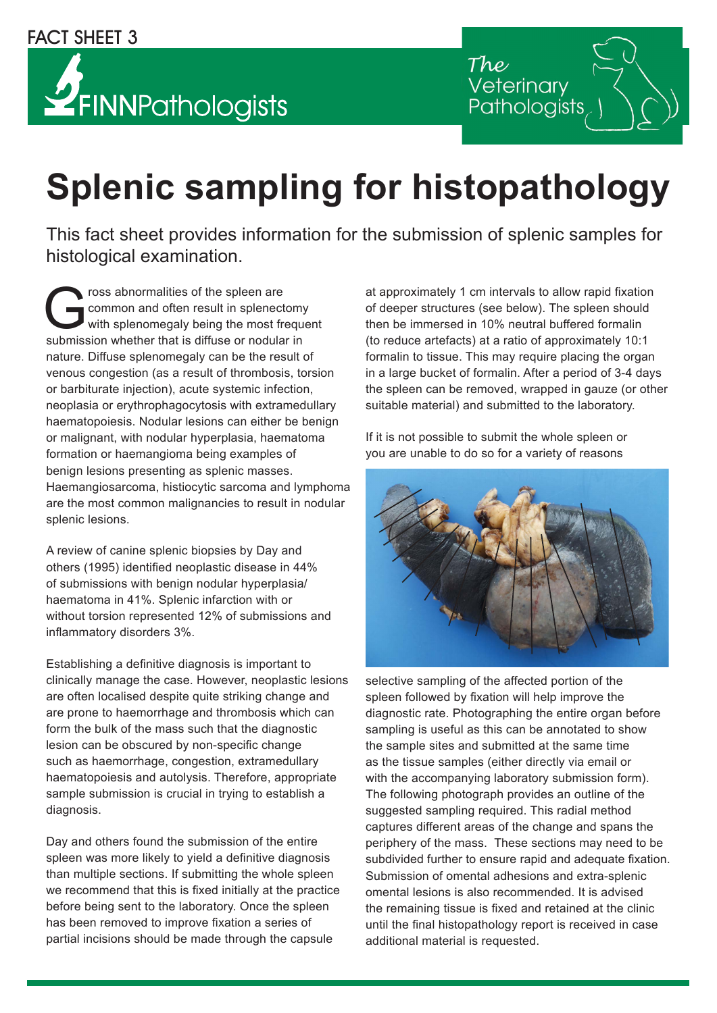## **YFINNPathologists**

Veterinary Pathologists

## **Splenic sampling for histopathology**

This fact sheet provides information for the submission of splenic samples for histological examination.

The spleen are<br>
Grommon and often result in splenect<br>
with splenomegaly being the most frequencies<br>
submission whether that is diffuse or podular<br>
or podular<br>
or podular<br>
or podular<br>
or podular<br>
or podular<br>
or podular<br>
or common and often result in splenectomy with splenomegaly being the most frequent submission whether that is diffuse or nodular in nature. Diffuse splenomegaly can be the result of venous congestion (as a result of thrombosis, torsion or barbiturate injection), acute systemic infection, neoplasia or erythrophagocytosis with extramedullary haematopoiesis. Nodular lesions can either be benign or malignant, with nodular hyperplasia, haematoma formation or haemangioma being examples of benign lesions presenting as splenic masses. Haemangiosarcoma, histiocytic sarcoma and lymphoma are the most common malignancies to result in nodular splenic lesions.

A review of canine splenic biopsies by Day and others (1995) identified neoplastic disease in 44% of submissions with benign nodular hyperplasia/ haematoma in 41%. Splenic infarction with or without torsion represented 12% of submissions and inflammatory disorders 3%.

Establishing a definitive diagnosis is important to clinically manage the case. However, neoplastic lesions are often localised despite quite striking change and are prone to haemorrhage and thrombosis which can form the bulk of the mass such that the diagnostic lesion can be obscured by non-specific change such as haemorrhage, congestion, extramedullary haematopoiesis and autolysis. Therefore, appropriate sample submission is crucial in trying to establish a diagnosis.

Day and others found the submission of the entire spleen was more likely to yield a definitive diagnosis than multiple sections. If submitting the whole spleen we recommend that this is fixed initially at the practice before being sent to the laboratory. Once the spleen has been removed to improve fixation a series of partial incisions should be made through the capsule

at approximately 1 cm intervals to allow rapid fixation of deeper structures (see below). The spleen should then be immersed in 10% neutral buffered formalin (to reduce artefacts) at a ratio of approximately 10:1 formalin to tissue. This may require placing the organ in a large bucket of formalin. After a period of 3-4 days the spleen can be removed, wrapped in gauze (or other suitable material) and submitted to the laboratory.

If it is not possible to submit the whole spleen or you are unable to do so for a variety of reasons



selective sampling of the affected portion of the spleen followed by fixation will help improve the diagnostic rate. Photographing the entire organ before sampling is useful as this can be annotated to show the sample sites and submitted at the same time as the tissue samples (either directly via email or with the accompanying laboratory submission form). The following photograph provides an outline of the suggested sampling required. This radial method captures different areas of the change and spans the periphery of the mass. These sections may need to be subdivided further to ensure rapid and adequate fixation. Submission of omental adhesions and extra-splenic omental lesions is also recommended. It is advised the remaining tissue is fixed and retained at the clinic until the final histopathology report is received in case additional material is requested.